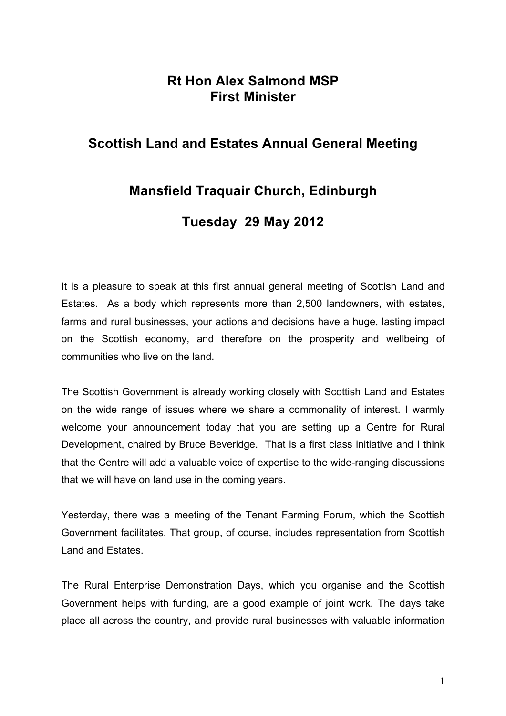## **Rt Hon Alex Salmond MSP First Minister**

## **Scottish Land and Estates Annual General Meeting**

## **Mansfield Traquair Church, Edinburgh**

## **Tuesday 29 May 2012**

It is a pleasure to speak at this first annual general meeting of Scottish Land and Estates. As a body which represents more than 2,500 landowners, with estates, farms and rural businesses, your actions and decisions have a huge, lasting impact on the Scottish economy, and therefore on the prosperity and wellbeing of communities who live on the land.

The Scottish Government is already working closely with Scottish Land and Estates on the wide range of issues where we share a commonality of interest. I warmly welcome your announcement today that you are setting up a Centre for Rural Development, chaired by Bruce Beveridge. That is a first class initiative and I think that the Centre will add a valuable voice of expertise to the wide-ranging discussions that we will have on land use in the coming years.

Yesterday, there was a meeting of the Tenant Farming Forum, which the Scottish Government facilitates. That group, of course, includes representation from Scottish Land and Estates.

The Rural Enterprise Demonstration Days, which you organise and the Scottish Government helps with funding, are a good example of joint work. The days take place all across the country, and provide rural businesses with valuable information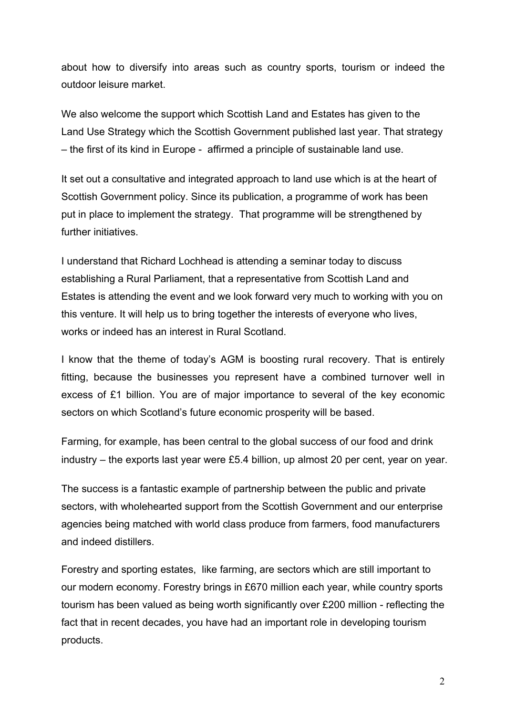about how to diversify into areas such as country sports, tourism or indeed the outdoor leisure market.

We also welcome the support which Scottish Land and Estates has given to the Land Use Strategy which the Scottish Government published last year. That strategy – the first of its kind in Europe - affirmed a principle of sustainable land use.

It set out a consultative and integrated approach to land use which is at the heart of Scottish Government policy. Since its publication, a programme of work has been put in place to implement the strategy. That programme will be strengthened by further initiatives.

I understand that Richard Lochhead is attending a seminar today to discuss establishing a Rural Parliament, that a representative from Scottish Land and Estates is attending the event and we look forward very much to working with you on this venture. It will help us to bring together the interests of everyone who lives, works or indeed has an interest in Rural Scotland.

I know that the theme of today's AGM is boosting rural recovery. That is entirely fitting, because the businesses you represent have a combined turnover well in excess of £1 billion. You are of major importance to several of the key economic sectors on which Scotland's future economic prosperity will be based.

Farming, for example, has been central to the global success of our food and drink industry – the exports last year were £5.4 billion, up almost 20 per cent, year on year.

The success is a fantastic example of partnership between the public and private sectors, with wholehearted support from the Scottish Government and our enterprise agencies being matched with world class produce from farmers, food manufacturers and indeed distillers.

Forestry and sporting estates, like farming, are sectors which are still important to our modern economy. Forestry brings in £670 million each year, while country sports tourism has been valued as being worth significantly over £200 million - reflecting the fact that in recent decades, you have had an important role in developing tourism products.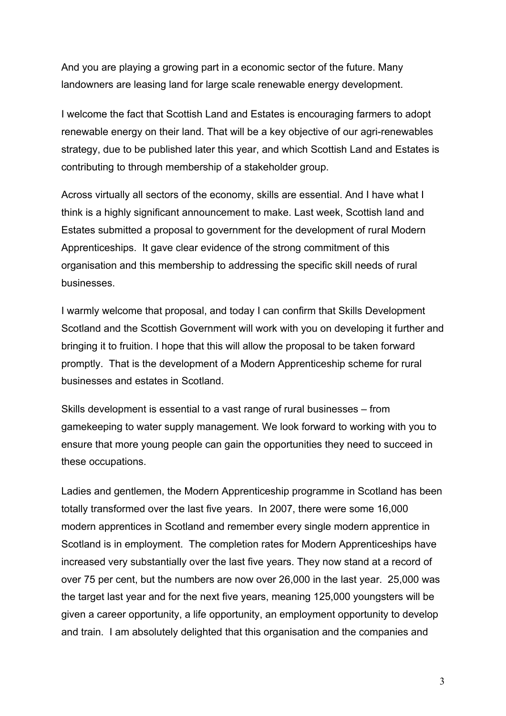And you are playing a growing part in a economic sector of the future. Many landowners are leasing land for large scale renewable energy development.

I welcome the fact that Scottish Land and Estates is encouraging farmers to adopt renewable energy on their land. That will be a key objective of our agri-renewables strategy, due to be published later this year, and which Scottish Land and Estates is contributing to through membership of a stakeholder group.

Across virtually all sectors of the economy, skills are essential. And I have what I think is a highly significant announcement to make. Last week, Scottish land and Estates submitted a proposal to government for the development of rural Modern Apprenticeships. It gave clear evidence of the strong commitment of this organisation and this membership to addressing the specific skill needs of rural businesses.

I warmly welcome that proposal, and today I can confirm that Skills Development Scotland and the Scottish Government will work with you on developing it further and bringing it to fruition. I hope that this will allow the proposal to be taken forward promptly. That is the development of a Modern Apprenticeship scheme for rural businesses and estates in Scotland.

Skills development is essential to a vast range of rural businesses – from gamekeeping to water supply management. We look forward to working with you to ensure that more young people can gain the opportunities they need to succeed in these occupations.

Ladies and gentlemen, the Modern Apprenticeship programme in Scotland has been totally transformed over the last five years. In 2007, there were some 16,000 modern apprentices in Scotland and remember every single modern apprentice in Scotland is in employment. The completion rates for Modern Apprenticeships have increased very substantially over the last five years. They now stand at a record of over 75 per cent, but the numbers are now over 26,000 in the last year. 25,000 was the target last year and for the next five years, meaning 125,000 youngsters will be given a career opportunity, a life opportunity, an employment opportunity to develop and train. I am absolutely delighted that this organisation and the companies and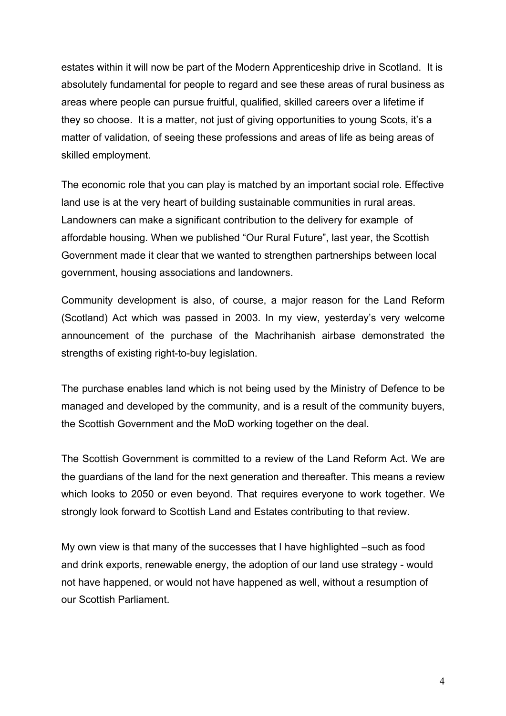estates within it will now be part of the Modern Apprenticeship drive in Scotland. It is absolutely fundamental for people to regard and see these areas of rural business as areas where people can pursue fruitful, qualified, skilled careers over a lifetime if they so choose. It is a matter, not just of giving opportunities to young Scots, it's a matter of validation, of seeing these professions and areas of life as being areas of skilled employment.

The economic role that you can play is matched by an important social role. Effective land use is at the very heart of building sustainable communities in rural areas. Landowners can make a significant contribution to the delivery for example of affordable housing. When we published "Our Rural Future", last year, the Scottish Government made it clear that we wanted to strengthen partnerships between local government, housing associations and landowners.

Community development is also, of course, a major reason for the Land Reform (Scotland) Act which was passed in 2003. In my view, yesterday's very welcome announcement of the purchase of the Machrihanish airbase demonstrated the strengths of existing right-to-buy legislation.

The purchase enables land which is not being used by the Ministry of Defence to be managed and developed by the community, and is a result of the community buyers, the Scottish Government and the MoD working together on the deal.

The Scottish Government is committed to a review of the Land Reform Act. We are the guardians of the land for the next generation and thereafter. This means a review which looks to 2050 or even beyond. That requires everyone to work together. We strongly look forward to Scottish Land and Estates contributing to that review.

My own view is that many of the successes that I have highlighted –such as food and drink exports, renewable energy, the adoption of our land use strategy - would not have happened, or would not have happened as well, without a resumption of our Scottish Parliament.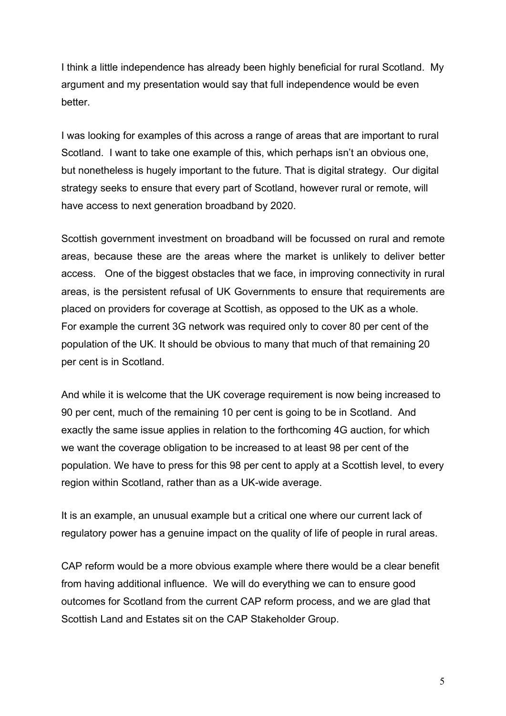I think a little independence has already been highly beneficial for rural Scotland. My argument and my presentation would say that full independence would be even better.

I was looking for examples of this across a range of areas that are important to rural Scotland. I want to take one example of this, which perhaps isn't an obvious one, but nonetheless is hugely important to the future. That is digital strategy. Our digital strategy seeks to ensure that every part of Scotland, however rural or remote, will have access to next generation broadband by 2020.

Scottish government investment on broadband will be focussed on rural and remote areas, because these are the areas where the market is unlikely to deliver better access. One of the biggest obstacles that we face, in improving connectivity in rural areas, is the persistent refusal of UK Governments to ensure that requirements are placed on providers for coverage at Scottish, as opposed to the UK as a whole. For example the current 3G network was required only to cover 80 per cent of the population of the UK. It should be obvious to many that much of that remaining 20 per cent is in Scotland.

And while it is welcome that the UK coverage requirement is now being increased to 90 per cent, much of the remaining 10 per cent is going to be in Scotland. And exactly the same issue applies in relation to the forthcoming 4G auction, for which we want the coverage obligation to be increased to at least 98 per cent of the population. We have to press for this 98 per cent to apply at a Scottish level, to every region within Scotland, rather than as a UK-wide average.

It is an example, an unusual example but a critical one where our current lack of regulatory power has a genuine impact on the quality of life of people in rural areas.

CAP reform would be a more obvious example where there would be a clear benefit from having additional influence. We will do everything we can to ensure good outcomes for Scotland from the current CAP reform process, and we are glad that Scottish Land and Estates sit on the CAP Stakeholder Group.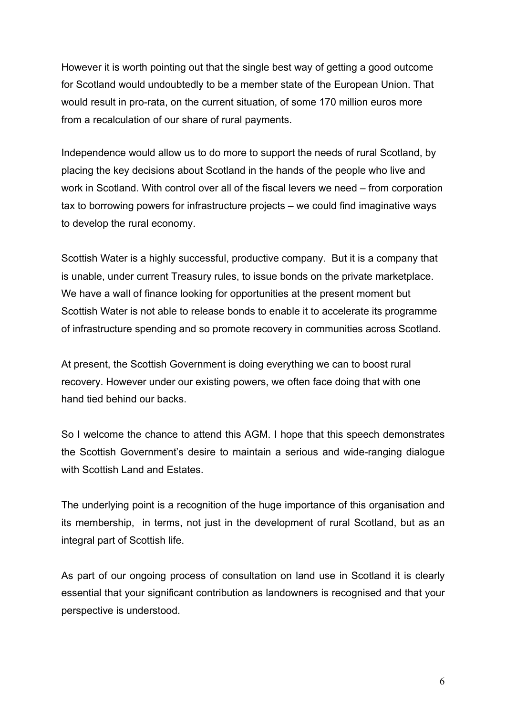However it is worth pointing out that the single best way of getting a good outcome for Scotland would undoubtedly to be a member state of the European Union. That would result in pro-rata, on the current situation, of some 170 million euros more from a recalculation of our share of rural payments.

Independence would allow us to do more to support the needs of rural Scotland, by placing the key decisions about Scotland in the hands of the people who live and work in Scotland. With control over all of the fiscal levers we need – from corporation tax to borrowing powers for infrastructure projects – we could find imaginative ways to develop the rural economy.

Scottish Water is a highly successful, productive company. But it is a company that is unable, under current Treasury rules, to issue bonds on the private marketplace. We have a wall of finance looking for opportunities at the present moment but Scottish Water is not able to release bonds to enable it to accelerate its programme of infrastructure spending and so promote recovery in communities across Scotland.

At present, the Scottish Government is doing everything we can to boost rural recovery. However under our existing powers, we often face doing that with one hand tied behind our backs.

So I welcome the chance to attend this AGM. I hope that this speech demonstrates the Scottish Government's desire to maintain a serious and wide-ranging dialogue with Scottish Land and Estates.

The underlying point is a recognition of the huge importance of this organisation and its membership, in terms, not just in the development of rural Scotland, but as an integral part of Scottish life.

As part of our ongoing process of consultation on land use in Scotland it is clearly essential that your significant contribution as landowners is recognised and that your perspective is understood.